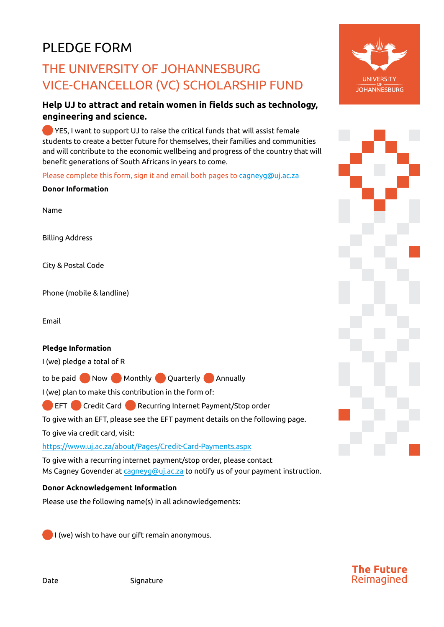# PLEDGE FORM

## THE UNIVERSITY OF JOHANNESBURG VICE-CHANCELLOR (VC) SCHOLARSHIP FUND

### **Help UJ to attract and retain women in fields such as technology, engineering and science.**

 YES, I want to support UJ to raise the critical funds that will assist female students to create a better future for themselves, their families and communities and will contribute to the economic wellbeing and progress of the country that will benefit generations of South Africans in years to come.

Please complete this form, sign it and email both pages to [cagneyg@uj.ac.za](mailto:cagneyg@uj.ac.za)

#### **Donor Information**

Name

Billing Address

City & Postal Code

Phone (mobile & landline)

Email

### **Pledge Information**

I (we) pledge a total of R

to be paid Now Monthly Quarterly Annually

I (we) plan to make this contribution in the form of:

**CREFT CO** Credit Card **C** Recurring Internet Payment/Stop order

To give with an EFT, please see the EFT payment details on the following page.

To give via credit card, visit:

<https://www.uj.ac.za/about/Pages/Credit-Card-Payments.aspx>

To give with a recurring internet payment/stop order, please contact Ms Cagney Govender at [cagneyg@uj.ac.za](mailto:cagneyg@uj.ac.za) to notify us of your payment instruction.

### **Donor Acknowledgement Information**

Please use the following name(s) in all acknowledgements:

I (we) wish to have our gift remain anonymous.





The Future Reimagined